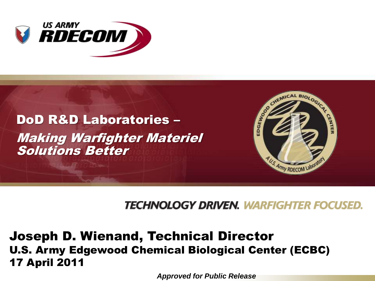



### TECHNOLOGY DRIVEN. WARFIGHTER FOCUSED.

### Joseph D. Wienand, Technical Director U.S. Army Edgewood Chemical Biological Center (ECBC) 17 April 2011

*Approved for Public Release*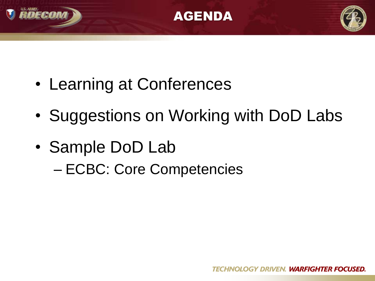





- Learning at Conferences
- Suggestions on Working with DoD Labs
- Sample DoD Lab
	- ECBC: Core Competencies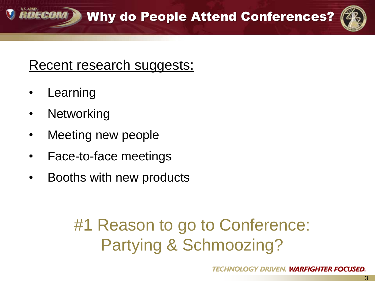3

## Recent research suggests:

- **Learning**
- Networking
- Meeting new people
- Face-to-face meetings
- Booths with new products

# #1 Reason to go to Conference: Partying & Schmoozing?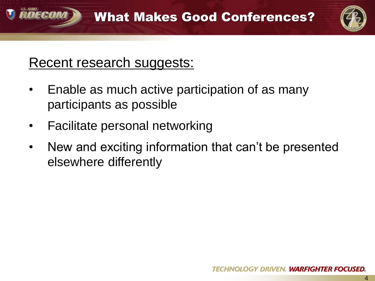

## Recent research suggests:

DECAN

- Enable as much active participation of as many participants as possible
- Facilitate personal networking
- New and exciting information that can't be presented elsewhere differently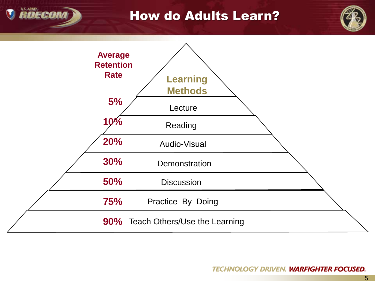# **RDECON**

### How do Adults Learn?



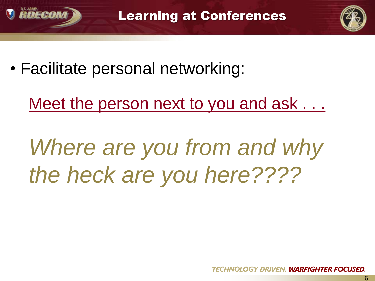



• Facilitate personal networking:

Meet the person next to you and ask . . .

*Where are you from and why the heck are you here????*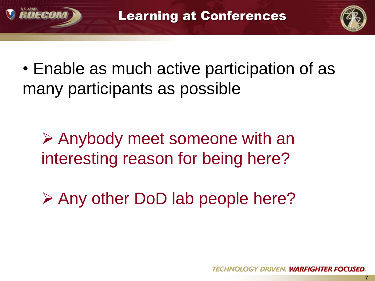



7

• Enable as much active participation of as many participants as possible

 $\triangleright$  Anybody meet someone with an interesting reason for being here?

**≻ Any other DoD lab people here?**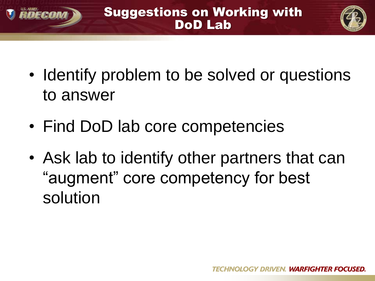



- Identify problem to be solved or questions to answer
- Find DoD lab core competencies

RDECON

• Ask lab to identify other partners that can "augment" core competency for best solution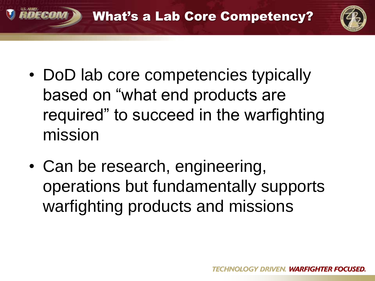



- DoD lab core competencies typically based on "what end products are required" to succeed in the warfighting mission
- Can be research, engineering, operations but fundamentally supports warfighting products and missions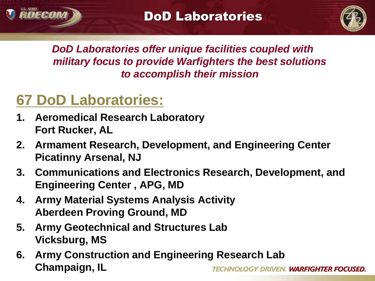

*DoD Laboratories offer unique facilities coupled with military focus to provide Warfighters the best solutions to accomplish their mission*

# **67 DoD Laboratories:**

Fra

- **1. Aeromedical Research Laboratory Fort Rucker, AL**
- **2. Armament Research, Development, and Engineering Center Picatinny Arsenal, NJ**
- **3. Communications and Electronics Research, Development, and Engineering Center , APG, MD**
- **4. Army Material Systems Analysis Activity Aberdeen Proving Ground, MD**
- **5. Army Geotechnical and Structures Lab Vicksburg, MS**
- **6. Army Construction and Engineering Research Lab Champaign, IL**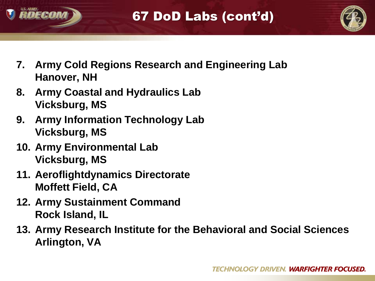



- **7. Army Cold Regions Research and Engineering Lab Hanover, NH**
- **8. Army Coastal and Hydraulics Lab Vicksburg, MS**
- **9. Army Information Technology Lab Vicksburg, MS**
- **10. Army Environmental Lab Vicksburg, MS**
- **11. Aeroflightdynamics Directorate Moffett Field, CA**
- **12. Army Sustainment Command Rock Island, IL**
- **13. Army Research Institute for the Behavioral and Social Sciences Arlington, VA**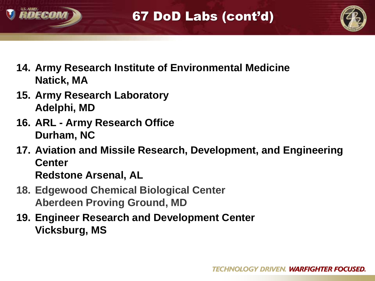



- **14. Army Research Institute of Environmental Medicine Natick, MA**
- **15. Army Research Laboratory Adelphi, MD**
- **16. ARL - Army Research Office Durham, NC**

**17. Aviation and Missile Research, Development, and Engineering Center Redstone Arsenal, AL** 

- **18. Edgewood Chemical Biological Center Aberdeen Proving Ground, MD**
- **19. Engineer Research and Development Center Vicksburg, MS**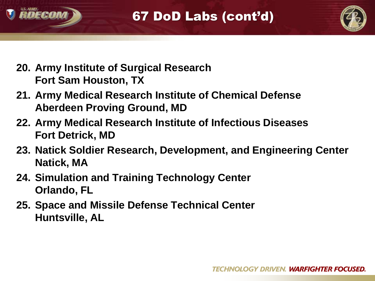



- **20. Army Institute of Surgical Research Fort Sam Houston, TX**
- **21. Army Medical Research Institute of Chemical Defense Aberdeen Proving Ground, MD**
- **22. Army Medical Research Institute of Infectious Diseases Fort Detrick, MD**
- **23. Natick Soldier Research, Development, and Engineering Center Natick, MA**
- **24. Simulation and Training Technology Center Orlando, FL**
- **25. Space and Missile Defense Technical Center Huntsville, AL**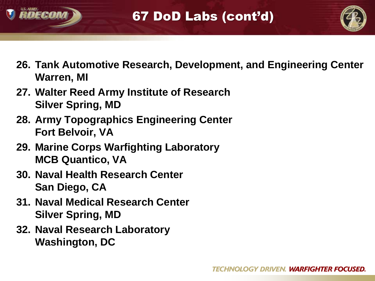



- **26. Tank Automotive Research, Development, and Engineering Center Warren, MI**
- **27. Walter Reed Army Institute of Research Silver Spring, MD**
- **28. Army Topographics Engineering Center Fort Belvoir, VA**
- **29. Marine Corps Warfighting Laboratory MCB Quantico, VA**
- **30. Naval Health Research Center San Diego, CA**
- **31. Naval Medical Research Center Silver Spring, MD**
- **32. Naval Research Laboratory Washington, DC**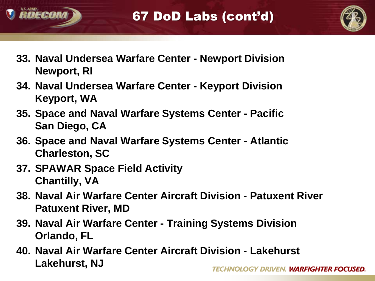



- **33. Naval Undersea Warfare Center - Newport Division Newport, RI**
- **34. Naval Undersea Warfare Center - Keyport Division Keyport, WA**
- **35. Space and Naval Warfare Systems Center - Pacific San Diego, CA**
- **36. Space and Naval Warfare Systems Center - Atlantic Charleston, SC**
- **37. SPAWAR Space Field Activity Chantilly, VA**
- **38. Naval Air Warfare Center Aircraft Division - Patuxent River Patuxent River, MD**
- **39. Naval Air Warfare Center - Training Systems Division Orlando, FL**
- **40. Naval Air Warfare Center Aircraft Division - Lakehurst Lakehurst, NJ**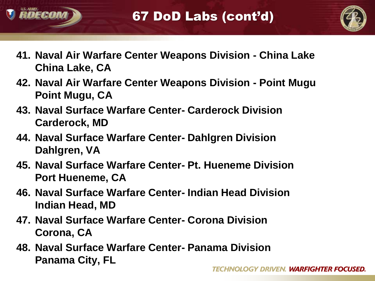



- **41. Naval Air Warfare Center Weapons Division - China Lake China Lake, CA**
- **42. Naval Air Warfare Center Weapons Division - Point Mugu Point Mugu, CA**
- **43. Naval Surface Warfare Center- Carderock Division Carderock, MD**
- **44. Naval Surface Warfare Center- Dahlgren Division Dahlgren, VA**
- **45. Naval Surface Warfare Center- Pt. Hueneme Division Port Hueneme, CA**
- **46. Naval Surface Warfare Center- Indian Head Division Indian Head, MD**
- **47. Naval Surface Warfare Center- Corona Division Corona, CA**
- **48. Naval Surface Warfare Center- Panama Division Panama City, FL**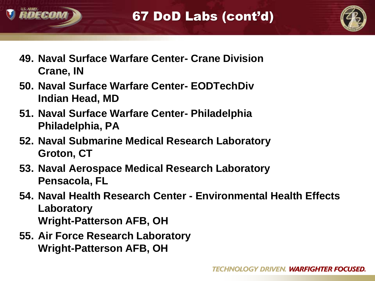



- **49. Naval Surface Warfare Center- Crane Division Crane, IN**
- **50. Naval Surface Warfare Center- EODTechDiv Indian Head, MD**
- **51. Naval Surface Warfare Center- Philadelphia Philadelphia, PA**
- **52. Naval Submarine Medical Research Laboratory Groton, CT**
- **53. Naval Aerospace Medical Research Laboratory Pensacola, FL**
- **54. Naval Health Research Center - Environmental Health Effects Laboratory Wright-Patterson AFB, OH**
- **55. Air Force Research Laboratory Wright-Patterson AFB, OH**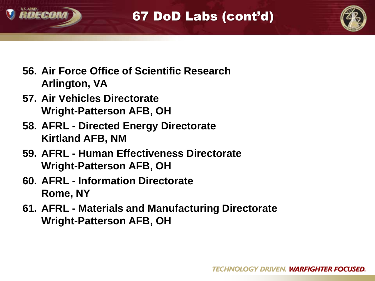



- **56. Air Force Office of Scientific Research Arlington, VA**
- **57. Air Vehicles Directorate Wright-Patterson AFB, OH**
- **58. AFRL - Directed Energy Directorate Kirtland AFB, NM**
- **59. AFRL - Human Effectiveness Directorate Wright-Patterson AFB, OH**
- **60. AFRL - Information Directorate Rome, NY**
- **61. AFRL - Materials and Manufacturing Directorate Wright-Patterson AFB, OH**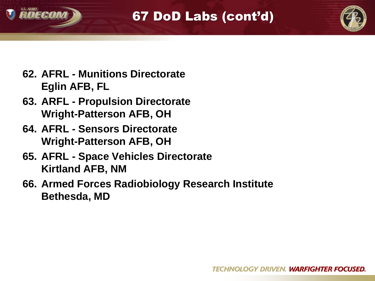

67 DoD Labs (cont'd)



- **62. AFRL - Munitions Directorate Eglin AFB, FL**
- **63. ARFL - Propulsion Directorate Wright-Patterson AFB, OH**
- **64. AFRL - Sensors Directorate Wright-Patterson AFB, OH**
- **65. AFRL - Space Vehicles Directorate Kirtland AFB, NM**
- **66. Armed Forces Radiobiology Research Institute Bethesda, MD**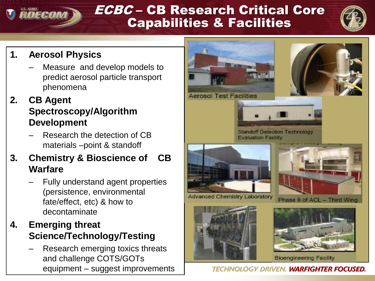### ECBC – CB Research Critical Core **V** RDECO Capabilities & Facilities



### **1. Aerosol Physics**

Measure and develop models to predict aerosol particle transport phenomena

### **2. CB Agent Spectroscopy/Algorithm Development**

– Research the detection of CB materials –point & standoff

### **3. Chemistry & Bioscience of CB Warfare**

- Fully understand agent properties (persistence, environmental fate/effect, etc) & how to decontaminate
- **4. Emerging threat Science/Technology/Testing**
	- Research emerging toxics threats and challenge COTS/GOTs equipment – suggest improvements



**TECHNOLOGY DRIVEN, WARFIGHTER FOCUSED.**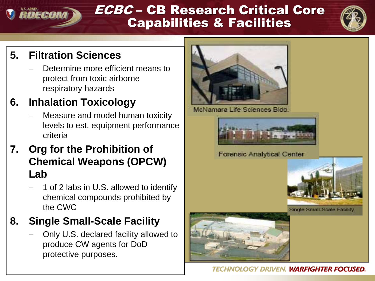### ECBC – CB Research Critical Core RDECO Capabilities & Facilities



### **5. Filtration Sciences**

– Determine more efficient means to protect from toxic airborne respiratory hazards

### **6. Inhalation Toxicology**

- Measure and model human toxicity levels to est. equipment performance criteria
- **7. Org for the Prohibition of Chemical Weapons (OPCW) Lab**
	- 1 of 2 labs in U.S. allowed to identify chemical compounds prohibited by the CWC

### **8. Single Small-Scale Facility**

– Only U.S. declared facility allowed to produce CW agents for DoD protective purposes.



McNamara Life Sciences Bidg.



Forensic Analytical Center



Single Small-Scale Facility



**TECHNOLOGY DRIVEN. WARFIGHTER FOCUSED.**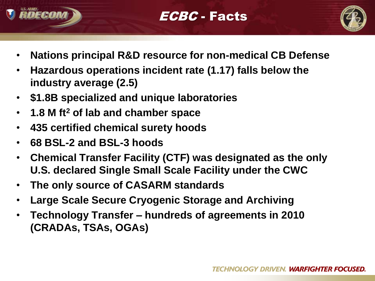



- **Nations principal R&D resource for non-medical CB Defense**
- **Hazardous operations incident rate (1.17) falls below the industry average (2.5)**
- **\$1.8B specialized and unique laboratories**
- **1.8 M ft<sup>2</sup> of lab and chamber space**
- **435 certified chemical surety hoods**
- **68 BSL-2 and BSL-3 hoods**
- **Chemical Transfer Facility (CTF) was designated as the only U.S. declared Single Small Scale Facility under the CWC**
- **The only source of CASARM standards**
- **Large Scale Secure Cryogenic Storage and Archiving**
- **Technology Transfer – hundreds of agreements in 2010 (CRADAs, TSAs, OGAs)**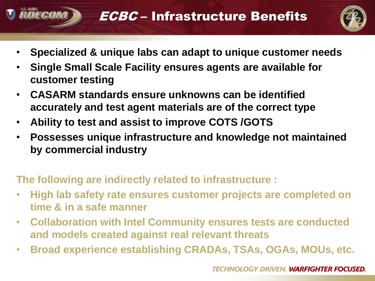### ECBC – Infrastructure Benefits



- **Specialized & unique labs can adapt to unique customer needs**
- **Single Small Scale Facility ensures agents are available for customer testing**
- **CASARM standards ensure unknowns can be identified accurately and test agent materials are of the correct type**
- **Ability to test and assist to improve COTS /GOTS**

RDECON

• **Possesses unique infrastructure and knowledge not maintained by commercial industry** 

**The following are indirectly related to infrastructure :**

- **High lab safety rate ensures customer projects are completed on time & in a safe manner**
- **Collaboration with Intel Community ensures tests are conducted and models created against real relevant threats**
- **Broad experience establishing CRADAs, TSAs, OGAs, MOUs, etc.**